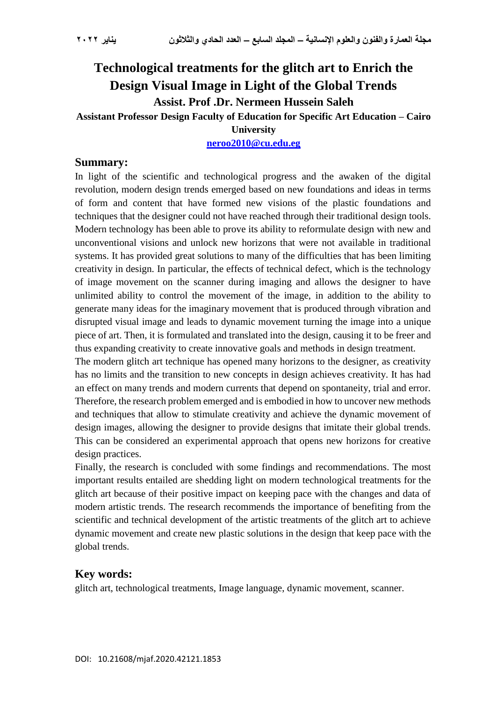# **Technological treatments for the glitch art to Enrich the Design Visual Image in Light of the Global Trends Assist. Prof .Dr. Nermeen Hussein Saleh**

**Assistant Professor Design Faculty of Education for Specific Art Education – Cairo** 

**University**

**[neroo2010@cu.edu.eg](mailto:neroo2010@cu.edu.eg)**

## **Summary:**

In light of the scientific and technological progress and the awaken of the digital revolution, modern design trends emerged based on new foundations and ideas in terms of form and content that have formed new visions of the plastic foundations and techniques that the designer could not have reached through their traditional design tools. Modern technology has been able to prove its ability to reformulate design with new and unconventional visions and unlock new horizons that were not available in traditional systems. It has provided great solutions to many of the difficulties that has been limiting creativity in design. In particular, the effects of technical defect, which is the technology of image movement on the scanner during imaging and allows the designer to have unlimited ability to control the movement of the image, in addition to the ability to generate many ideas for the imaginary movement that is produced through vibration and disrupted visual image and leads to dynamic movement turning the image into a unique piece of art. Then, it is formulated and translated into the design, causing it to be freer and thus expanding creativity to create innovative goals and methods in design treatment.

The modern glitch art technique has opened many horizons to the designer, as creativity has no limits and the transition to new concepts in design achieves creativity. It has had an effect on many trends and modern currents that depend on spontaneity, trial and error. Therefore, the research problem emerged and is embodied in how to uncover new methods and techniques that allow to stimulate creativity and achieve the dynamic movement of design images, allowing the designer to provide designs that imitate their global trends. This can be considered an experimental approach that opens new horizons for creative design practices.

Finally, the research is concluded with some findings and recommendations. The most important results entailed are shedding light on modern technological treatments for the glitch art because of their positive impact on keeping pace with the changes and data of modern artistic trends. The research recommends the importance of benefiting from the scientific and technical development of the artistic treatments of the glitch art to achieve dynamic movement and create new plastic solutions in the design that keep pace with the global trends.

# **Key words:**

glitch art, technological treatments, Image language, dynamic movement, scanner.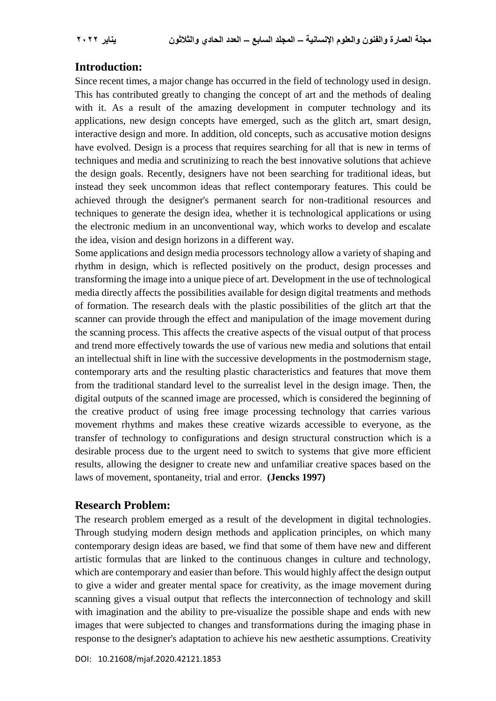# **Introduction:**

Since recent times, a major change has occurred in the field of technology used in design. This has contributed greatly to changing the concept of art and the methods of dealing with it. As a result of the amazing development in computer technology and its applications, new design concepts have emerged, such as the glitch art, smart design, interactive design and more. In addition, old concepts, such as accusative motion designs have evolved. Design is a process that requires searching for all that is new in terms of techniques and media and scrutinizing to reach the best innovative solutions that achieve the design goals. Recently, designers have not been searching for traditional ideas, but instead they seek uncommon ideas that reflect contemporary features. This could be achieved through the designer's permanent search for non-traditional resources and techniques to generate the design idea, whether it is technological applications or using the electronic medium in an unconventional way, which works to develop and escalate the idea, vision and design horizons in a different way.

Some applications and design media processors technology allow a variety of shaping and rhythm in design, which is reflected positively on the product, design processes and transforming the image into a unique piece of art. Development in the use of technological media directly affects the possibilities available for design digital treatments and methods of formation. The research deals with the plastic possibilities of the glitch art that the scanner can provide through the effect and manipulation of the image movement during the scanning process. This affects the creative aspects of the visual output of that process and trend more effectively towards the use of various new media and solutions that entail an intellectual shift in line with the successive developments in the postmodernism stage, contemporary arts and the resulting plastic characteristics and features that move them from the traditional standard level to the surrealist level in the design image. Then, the digital outputs of the scanned image are processed, which is considered the beginning of the creative product of using free image processing technology that carries various movement rhythms and makes these creative wizards accessible to everyone, as the transfer of technology to configurations and design structural construction which is a desirable process due to the urgent need to switch to systems that give more efficient results, allowing the designer to create new and unfamiliar creative spaces based on the laws of movement, spontaneity, trial and error. **(Jencks 1997)**

# **Research Problem:**

The research problem emerged as a result of the development in digital technologies. Through studying modern design methods and application principles, on which many contemporary design ideas are based, we find that some of them have new and different artistic formulas that are linked to the continuous changes in culture and technology, which are contemporary and easier than before. This would highly affect the design output to give a wider and greater mental space for creativity, as the image movement during scanning gives a visual output that reflects the interconnection of technology and skill with imagination and the ability to pre-visualize the possible shape and ends with new images that were subjected to changes and transformations during the imaging phase in response to the designer's adaptation to achieve his new aesthetic assumptions. Creativity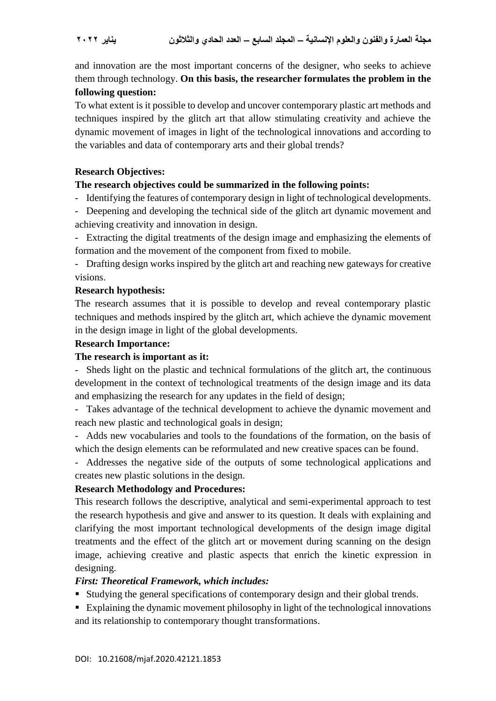and innovation are the most important concerns of the designer, who seeks to achieve them through technology. **On this basis, the researcher formulates the problem in the following question:**

To what extent is it possible to develop and uncover contemporary plastic art methods and techniques inspired by the glitch art that allow stimulating creativity and achieve the dynamic movement of images in light of the technological innovations and according to the variables and data of contemporary arts and their global trends?

# **Research Objectives:**

### **The research objectives could be summarized in the following points:**

- Identifying the features of contemporary design in light of technological developments.

- Deepening and developing the technical side of the glitch art dynamic movement and achieving creativity and innovation in design.

- Extracting the digital treatments of the design image and emphasizing the elements of formation and the movement of the component from fixed to mobile.

- Drafting design works inspired by the glitch art and reaching new gateways for creative visions.

#### **Research hypothesis:**

The research assumes that it is possible to develop and reveal contemporary plastic techniques and methods inspired by the glitch art, which achieve the dynamic movement in the design image in light of the global developments.

#### **Research Importance:**

#### **The research is important as it:**

- Sheds light on the plastic and technical formulations of the glitch art, the continuous development in the context of technological treatments of the design image and its data and emphasizing the research for any updates in the field of design;

- Takes advantage of the technical development to achieve the dynamic movement and reach new plastic and technological goals in design;

- Adds new vocabularies and tools to the foundations of the formation, on the basis of which the design elements can be reformulated and new creative spaces can be found.

- Addresses the negative side of the outputs of some technological applications and creates new plastic solutions in the design.

# **Research Methodology and Procedures:**

This research follows the descriptive, analytical and semi-experimental approach to test the research hypothesis and give and answer to its question. It deals with explaining and clarifying the most important technological developments of the design image digital treatments and the effect of the glitch art or movement during scanning on the design image, achieving creative and plastic aspects that enrich the kinetic expression in designing.

#### *First: Theoretical Framework, which includes:*

- Studying the general specifications of contemporary design and their global trends.
- Explaining the dynamic movement philosophy in light of the technological innovations and its relationship to contemporary thought transformations.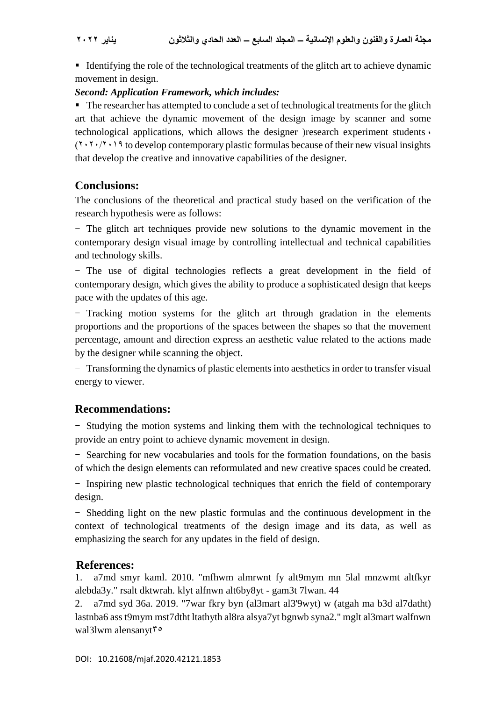If Identifying the role of the technological treatments of the glitch art to achieve dynamic movement in design.

# *Second: Application Framework, which includes:*

The researcher has attempted to conclude a set of technological treatments for the glitch art that achieve the dynamic movement of the design image by scanner and some technological applications, which allows the designer (research experiment students  $\cdot$  $(2.28)$  (1.1.2019) to develop contemporary plastic formulas because of their new visual insights that develop the creative and innovative capabilities of the designer.

# **Conclusions:**

The conclusions of the theoretical and practical study based on the verification of the research hypothesis were as follows:

- The glitch art techniques provide new solutions to the dynamic movement in the contemporary design visual image by controlling intellectual and technical capabilities and technology skills.

- The use of digital technologies reflects a great development in the field of contemporary design, which gives the ability to produce a sophisticated design that keeps pace with the updates of this age.

- Tracking motion systems for the glitch art through gradation in the elements proportions and the proportions of the spaces between the shapes so that the movement percentage, amount and direction express an aesthetic value related to the actions made by the designer while scanning the object.

- Transforming the dynamics of plastic elements into aesthetics in order to transfer visual energy to viewer.

# **Recommendations:**

- Studying the motion systems and linking them with the technological techniques to provide an entry point to achieve dynamic movement in design.

- Searching for new vocabularies and tools for the formation foundations, on the basis of which the design elements can reformulated and new creative spaces could be created.

- Inspiring new plastic technological techniques that enrich the field of contemporary design.

- Shedding light on the new plastic formulas and the continuous development in the context of technological treatments of the design image and its data, as well as emphasizing the search for any updates in the field of design.

# **References:**

1. a7md smyr kaml. 2010. "mfhwm almrwnt fy alt9mym mn 5lal mnzwmt altfkyr alebda3y." rsalt dktwrah. klyt alfnwn alt6by8yt - gam3t 7lwan. 44

2. a7md syd 36a. 2019. "7war fkry byn (al3mart al3'9wyt) w (atgah ma b3d al7datht) lastnba6 ass t9mym mst7dtht ltathyth al8ra alsya7yt bgnwb syna2." mglt al3mart walfnwn wal3lwm alensanyt $\mathfrak{r}$ °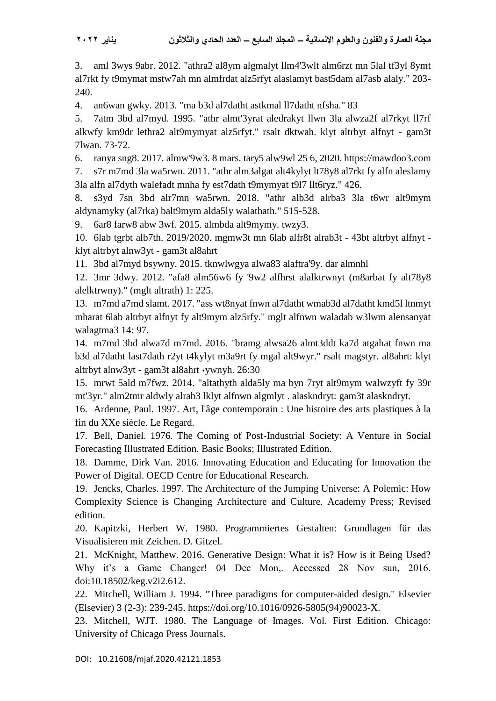3. aml 3wys 9abr. 2012. "athra2 al8ym algmalyt llm4'3wlt alm6rzt mn 5lal tf3yl 8ymt al7rkt fy t9mymat mstw7ah mn almfrdat alz5rfyt alaslamyt bast5dam al7asb alaly." 203- 240.

4. an6wan gwky. 2013. "ma b3d al7datht astkmal ll7datht nfsha." 83

5. 7atm 3bd al7myd. 1995. "athr almt'3yrat aledrakyt llwn 3la alwza2f al7rkyt ll7rf alkwfy km9dr lethra2 alt9mymyat alz5rfyt." rsalt dktwah. klyt altrbyt alfnyt - gam3t 7lwan. 73-72.

6. ranya sng8. 2017. almw'9w3. 8 mars. tary5 alw9wl 25 6, 2020. https://mawdoo3.com

7. s7r m7md 3la wa5rwn. 2011. "athr alm3algat alt4kylyt lt78y8 al7rkt fy alfn aleslamy 3la alfn al7dyth walefadt mnha fy est7dath t9mymyat t9l7 llt6ryz." 426.

8. s3yd 7sn 3bd alr7mn wa5rwn. 2018. "athr alb3d alrba3 3la t6wr alt9mym aldynamyky (al7rka) balt9mym alda5ly walathath." 515-528.

9. 6ar8 farw8 abw 3wf. 2015. almbda alt9mymy. twzy3.

10. 6lab tgrbt alb7th. 2019/2020. mgmw3t mn 6lab alfr8t alrab3t - 43bt altrbyt alfnyt klyt altrbyt alnw3yt - gam3t al8ahrt

11. 3bd al7myd bsywny. 2015. tknwlwgya alwa83 alaftra'9y. dar almnhl

12. 3mr 3dwy. 2012. "afa8 alm56w6 fy '9w2 alfhrst alalktrwnyt (m8arbat fy alt78y8 alelktrwny)." (mglt altrath) 1: 225.

13. m7md a7md slamt. 2017. "ass wt8nyat fnwn al7datht wmab3d al7datht kmd5l ltnmyt mharat 6lab altrbyt alfnyt fy alt9mym alz5rfy." mglt alfnwn waladab w3lwm alensanyat walagtma3 14: 97.

14. m7md 3bd alwa7d m7md. 2016. "bramg alwsa26 almt3ddt ka7d atgahat fnwn ma b3d al7datht last7dath r2yt t4kylyt m3a9rt fy mgal alt9wyr." rsalt magstyr. al8ahrt: klyt altrbyt alnw3yt - gam3t al8ahrt ،ywnyh. 26:30

15. mrwt 5ald m7fwz. 2014. "altathyth alda5ly ma byn 7ryt alt9mym walwzyft fy 39r mt'3yr." alm2tmr aldwly alrab3 lklyt alfnwn algmlyt . alaskndryt: gam3t alaskndryt.

16. Ardenne, Paul. 1997. Art, l'âge contemporain : Une histoire des arts plastiques à la fin du XXe siècle. Le Regard.

17. Bell, Daniel. 1976. The Coming of Post-Industrial Society: A Venture in Social Forecasting Illustrated Edition. Basic Books; Illustrated Edition.

18. Damme, Dirk Van. 2016. Innovating Education and Educating for Innovation the Power of Digital. OECD Centre for Educational Research.

19. Jencks, Charles. 1997. The Architecture of the Jumping Universe: A Polemic: How Complexity Science is Changing Architecture and Culture. Academy Press; Revised edition.

20. Kapitzki, Herbert W. 1980. Programmiertes Gestalten: Grundlagen für das Visualisieren mit Zeichen. D. Gitzel.

21. McKnight, Matthew. 2016. Generative Design: What it is? How is it Being Used? Why it's a Game Changer! 04 Dec Mon,. Accessed 28 Nov sun, 2016. doi:10.18502/keg.v2i2.612.

22. Mitchell, William J. 1994. "Three paradigms for computer-aided design." Elsevier (Elsevier) 3 (2-3): 239-245. https://doi.org/10.1016/0926-5805(94)90023-X.

23. Mitchell, WJT. 1980. The Language of Images. Vol. First Edition. Chicago: University of Chicago Press Journals.